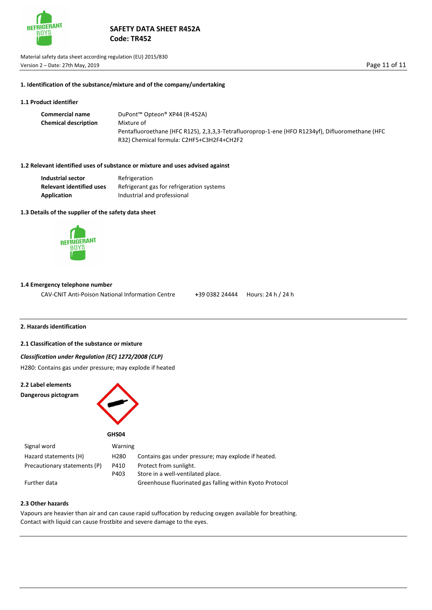

Material safety data sheet according regulation (EU) 2015/830 Version 2 – Date: 27th May, 2019 **Page 11 of 11** 

#### **1. Identification of the substance/mixture and of the company/undertaking**

## **1.1 Product identifier**

| <b>Commercial name</b>      | DuPont™ Opteon® XP44 (R-452A)                                                                   |
|-----------------------------|-------------------------------------------------------------------------------------------------|
| <b>Chemical description</b> | Mixture of                                                                                      |
|                             | Pentafluoroethane (HFC R125), 2,3,3,3-Tetrafluoroprop-1-ene (HFO R1234yf), Difluoromethane (HFC |
|                             | R32) Chemical formula: C2HF5+C3H2F4+CH2F2                                                       |

### **1.2 Relevant identified uses of substance or mixture and uses advised against**

| <b>Industrial sector</b>        | Refrigeration                             |
|---------------------------------|-------------------------------------------|
| <b>Relevant identified uses</b> | Refrigerant gas for refrigeration systems |
| <b>Application</b>              | Industrial and professional               |

## **1.3 Details of the supplier of the safety data sheet**



Z&Z/'ZEdKz^XZX>X **©**EšŒ îíìñrµ•š}Œ•]Ì}s  $\check{\mathbf{6}}$ W= $\mathbf{\tilde{6}}$ uþW∰Æ

#### **1.4 Emergency telephone number**

CAV-CNIT Anti-Poison National Information Centre **+**39 0382 24444 Hours: 24 h / 24 h

# **2. Hazards identification**

#### **2.1 Classification of the substance or mixture**

## *Classification under Regulation (EC) 1272/2008 (CLP)*

H280: Contains gas under pressure; may explode if heated



| Signal word                  | Warning          |                                                          |
|------------------------------|------------------|----------------------------------------------------------|
| Hazard statements (H)        | H <sub>280</sub> | Contains gas under pressure; may explode if heated.      |
| Precautionary statements (P) | P410             | Protect from sunlight.                                   |
|                              | P403             | Store in a well-ventilated place.                        |
| Further data                 |                  | Greenhouse fluorinated gas falling within Kyoto Protocol |

# **2.3 Other hazards**

Vapours are heavier than air and can cause rapid suffocation by reducing oxygen available for breathing. Contact with liquid can cause frostbite and severe damage to the eyes.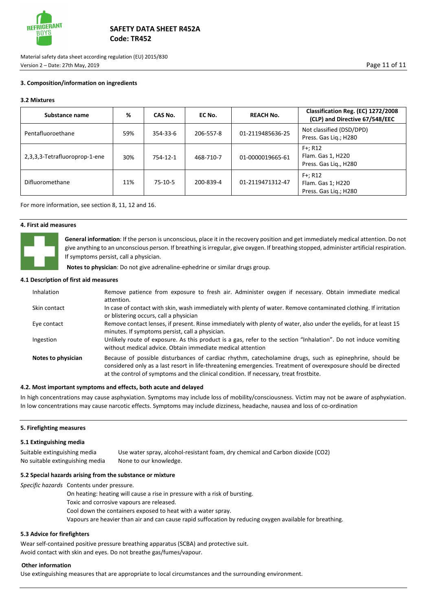

Material safety data sheet according regulation (EU) 2015/830 Version 2 – Date: 27th May, 2019 Page 11 of 11

## **3. Composition/information on ingredients**

## **3.2 Mixtures**

| Substance name                | %   | CAS No.   | EC No.    | <b>REACH No.</b> | Classification Reg. (EC) 1272/2008<br>(CLP) and Directive 67/548/EEC |
|-------------------------------|-----|-----------|-----------|------------------|----------------------------------------------------------------------|
| Pentafluoroethane             | 59% | 354-33-6  | 206-557-8 | 01-2119485636-25 | Not classified (DSD/DPD)<br>Press. Gas Lig.; H280                    |
| 2,3,3,3-Tetrafluoroprop-1-ene | 30% | 754-12-1  | 468-710-7 | 01-0000019665-61 | $F+; R12$<br>Flam. Gas 1, H220<br>Press. Gas Lig., H280              |
| Difluoromethane               | 11% | $75-10-5$ | 200-839-4 | 01-2119471312-47 | $F+; R12$<br>Flam. Gas 1; H220<br>Press. Gas Lig.; H280              |

For more information, see section 8, 11, 12 and 16.

## **4. First aid measures**



**General information**: If the person is unconscious, place it in the recovery position and get immediately medical attention. Do not give anything to an unconscious person. If breathing is irregular, give oxygen. If breathing stopped, administer artificial respiration. If symptoms persist, call a physician.

 **Notes to physician**: Do not give adrenaline-ephedrine or similar drugs group.

#### **4.1 Description of first aid measures**

| Inhalation         | Remove patience from exposure to fresh air. Administer oxygen if necessary. Obtain immediate medical<br>attention.                                                                                                                                                                                                 |
|--------------------|--------------------------------------------------------------------------------------------------------------------------------------------------------------------------------------------------------------------------------------------------------------------------------------------------------------------|
| Skin contact       | In case of contact with skin, wash immediately with plenty of water. Remove contaminated clothing. If irritation<br>or blistering occurs, call a physician                                                                                                                                                         |
| Eye contact        | Remove contact lenses, if present. Rinse immediately with plenty of water, also under the eyelids, for at least 15<br>minutes. If symptoms persist, call a physician.                                                                                                                                              |
| Ingestion          | Unlikely route of exposure. As this product is a gas, refer to the section "Inhalation". Do not induce vomiting<br>without medical advice. Obtain immediate medical attention                                                                                                                                      |
| Notes to physician | Because of possible disturbances of cardiac rhythm, catecholamine drugs, such as epinephrine, should be<br>considered only as a last resort in life-threatening emergencies. Treatment of overexposure should be directed<br>at the control of symptoms and the clinical condition. If necessary, treat frostbite. |

#### **4.2. Most important symptoms and effects, both acute and delayed**

In high concentrations may cause asphyxiation. Symptoms may include loss of mobility/consciousness. Victim may not be aware of asphyxiation. In low concentrations may cause narcotic effects. Symptoms may include dizziness, headache, nausea and loss of co-ordination

#### **5. Firefighting measures**

### **5.1 Extinguishing media**

| Suitable extinguishing media    | Use water spray, alcohol-resistant foam, dry chemical and Carbon dioxide (CO2) |
|---------------------------------|--------------------------------------------------------------------------------|
| No suitable extinguishing media | None to our knowledge.                                                         |

#### **5.2 Special hazards arising from the substance or mixture**

*Specific hazards* Contents under pressure.

- On heating: heating will cause a rise in pressure with a risk of bursting.
- Toxic and corrosive vapours are released.
- Cool down the containers exposed to heat with a water spray.
- Vapours are heavier than air and can cause rapid suffocation by reducing oxygen available for breathing.

## **5.3 Advice for firefighters**

Wear self-contained positive pressure breathing apparatus (SCBA) and protective suit. Avoid contact with skin and eyes. Do not breathe gas/fumes/vapour.

## **Other information**

Use extinguishing measures that are appropriate to local circumstances and the surrounding environment.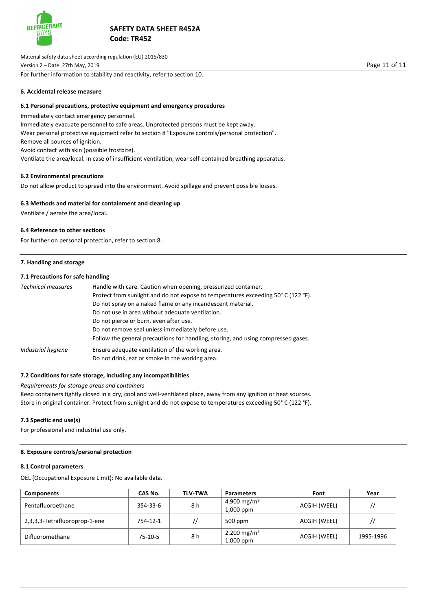

Material safety data sheet according regulation (EU) 2015/830 Version 2 – Date: 27th May, 2019 Page 11 of 11 For further information to stability and reactivity, refer to section 10.

**6. Accidental release measure**

## **6.1 Personal precautions, protective equipment and emergency procedures**

Immediately contact emergency personnel. Immediately evacuate personnel to safe areas. Unprotected persons must be kept away. Wear personal protective equipment refer to section 8 "Exposure controls/personal protection". Remove all sources of ignition. Avoid contact with skin (possible frostbite). Ventilate the area/local. In case of insufficient ventilation, wear self-contained breathing apparatus.

## **6.2 Environmental precautions**

Do not allow product to spread into the environment. Avoid spillage and prevent possible losses.

# **6.3 Methods and material for containment and cleaning up**

Ventilate / aerate the area/local.

## **6.4 Reference to other sections**

For further on personal protection, refer to section 8.

### **7. Handling and storage**

## **7.1 Precautions for safe handling**

| <b>Technical measures</b> | Handle with care. Caution when opening, pressurized container.<br>Protect from sunlight and do not expose to temperatures exceeding 50° C (122 °F).<br>Do not spray on a naked flame or any incandescent material. |  |  |  |  |
|---------------------------|--------------------------------------------------------------------------------------------------------------------------------------------------------------------------------------------------------------------|--|--|--|--|
|                           | Do not use in area without adequate ventilation.                                                                                                                                                                   |  |  |  |  |
|                           | Do not pierce or burn, even after use.                                                                                                                                                                             |  |  |  |  |
|                           | Do not remove seal unless immediately before use.                                                                                                                                                                  |  |  |  |  |
|                           | Follow the general precautions for handling, storing, and using compressed gases.                                                                                                                                  |  |  |  |  |
| Industrial hygiene        | Ensure adequate ventilation of the working area.                                                                                                                                                                   |  |  |  |  |
|                           | Do not drink, eat or smoke in the working area.                                                                                                                                                                    |  |  |  |  |

## **7.2 Conditions for safe storage, including any incompatibilities**

### *Requirements for storage areas and containers*

Keep containers tightly closed in a dry, cool and well-ventilated place, away from any ignition or heat sources. Store in original container. Protect from sunlight and do not expose to temperatures exceeding 50° C (122 °F).

## **7.3 Specific end use(s)**

For professional and industrial use only.

# **8. Exposure controls/personal protection**

#### **8.1 Control parameters**

OEL (Occupational Exposure Limit): No available data.

| <b>Components</b>             | CAS No.  | <b>TLV-TWA</b> | <b>Parameters</b>                      | Font         | Year      |
|-------------------------------|----------|----------------|----------------------------------------|--------------|-----------|
| Pentafluoroethane             | 354-33-6 | 8 h            | 4.900 mg/m <sup>3</sup><br>$1,000$ ppm | ACGIH (WEEL) | //        |
| 2,3,3,3-Tetrafluoroprop-1-ene | 754-12-1 |                | $500$ ppm                              | ACGIH (WEEL) |           |
| Difluoromethane               | 75-10-5  | 8 h            | 2.200 mg/m <sup>3</sup><br>$1.000$ ppm | ACGIH (WEEL) | 1995-1996 |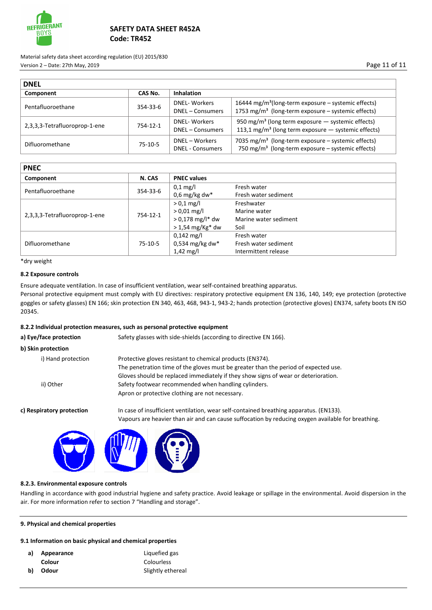

Material safety data sheet according regulation (EU) 2015/830 Version 2 – Date: 27th May, 2019 Page 11 of 11

| <b>DNEL</b>                   |           |                                           |                                                                                                                                      |  |
|-------------------------------|-----------|-------------------------------------------|--------------------------------------------------------------------------------------------------------------------------------------|--|
| Component                     | CAS No.   | <b>Inhalation</b>                         |                                                                                                                                      |  |
| Pentafluoroethane             | 354-33-6  | <b>DNEL-Workers</b><br>DNEL - Consumers   | 16444 mg/m <sup>3</sup> (long-term exposure - systemic effects)<br>1753 mg/m <sup>3</sup> (long-term exposure - systemic effects)    |  |
| 2,3,3,3-Tetrafluoroprop-1-ene | 754-12-1  | <b>DNEL-Workers</b><br>DNEL - Consumers   | 950 mg/m <sup>3</sup> (long term exposure $-$ systemic effects)<br>113,1 mg/m <sup>3</sup> (long term exposure $-$ systemic effects) |  |
| Difluoromethane               | $75-10-5$ | DNEL - Workers<br><b>DNEL - Consumers</b> | 7035 mg/m <sup>3</sup> (long-term exposure – systemic effects)<br>750 mg/m <sup>3</sup> (long-term exposure $-$ systemic effects)    |  |

| <b>PNEC</b>                   |           |                      |                       |  |
|-------------------------------|-----------|----------------------|-----------------------|--|
| Component                     | N. CAS    | <b>PNEC values</b>   |                       |  |
| Pentafluoroethane             | 354-33-6  | $0.1 \text{ mg/l}$   | Fresh water           |  |
|                               |           | 0,6 mg/kg dw*        | Fresh water sediment  |  |
|                               | 754-12-1  | $> 0.1$ mg/l         | Freshwater            |  |
|                               |           | $> 0.01$ mg/l        | Marine water          |  |
| 2,3,3,3-Tetrafluoroprop-1-ene |           | $> 0,178$ mg/l* dw   | Marine water sediment |  |
|                               |           | $>$ 1,54 mg/Kg* dw   | Soil                  |  |
|                               | $75-10-5$ | $0,142 \text{ mg/l}$ | Fresh water           |  |
| Difluoromethane               |           | $0.534$ mg/kg dw*    | Fresh water sediment  |  |
|                               |           | $1,42 \text{ mg/l}$  | Intermittent release  |  |

\*dry weight

## **8.2 Exposure controls**

Ensure adequate ventilation. In case of insufficient ventilation, wear self-contained breathing apparatus.

Personal protective equipment must comply with EU directives: respiratory protective equipment EN 136, 140, 149; eye protection (protective goggles or safety glasses) EN 166; skin protection EN 340, 463, 468, 943-1, 943-2; hands protection (protective gloves) EN374, safety boots EN ISO 20345.

## **8.2.2 Individual protection measures, such as personal protective equipment**

| Safety glasses with side-shields (according to directive EN 166).                                                                                                                            |
|----------------------------------------------------------------------------------------------------------------------------------------------------------------------------------------------|
|                                                                                                                                                                                              |
| Protective gloves resistant to chemical products (EN374).                                                                                                                                    |
| The penetration time of the gloves must be greater than the period of expected use.                                                                                                          |
| Gloves should be replaced immediately if they show signs of wear or deterioration.                                                                                                           |
| Safety footwear recommended when handling cylinders.                                                                                                                                         |
| Apron or protective clothing are not necessary.                                                                                                                                              |
| In case of insufficient ventilation, wear self-contained breathing apparatus. (EN133).<br>Vapours are heavier than air and can cause suffocation by reducing oxygen available for breathing. |
|                                                                                                                                                                                              |



## **8.2.3. Environmental exposure controls**

Handling in accordance with good industrial hygiene and safety practice. Avoid leakage or spillage in the environmental. Avoid dispersion in the air. For more information refer to section 7 "Handling and storage".

# **9. Physical and chemical properties**

## **9.1 Information on basic physical and chemical properties**

| a) | Appearance | Liquefied gas     |
|----|------------|-------------------|
|    | Colour     | Colourless        |
| b) | Odour      | Slightly ethereal |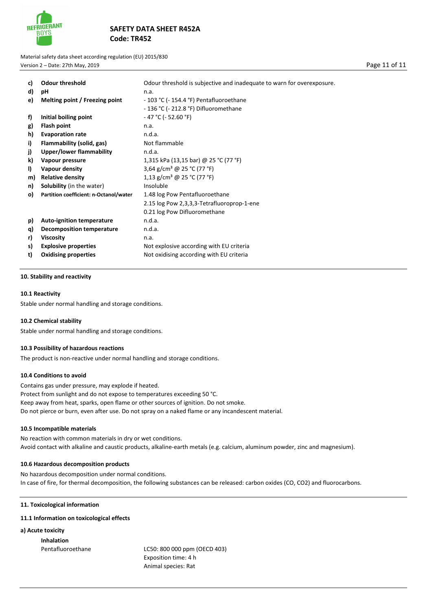

Material safety data sheet according regulation (EU) 2015/830 Version 2 – Date: 27th May, 2019 Page 11 of 11

| C) | <b>Odour threshold</b>                 | Odour threshold is subjective and inadequate to warn for overexposure. |
|----|----------------------------------------|------------------------------------------------------------------------|
| d) | рH                                     | n.a.                                                                   |
| e) | Melting point / Freezing point         | - 103 °C (- 154.4 °F) Pentafluoroethane                                |
|    |                                        | - 136 °C (- 212.8 °F) Difluoromethane                                  |
| f) | Initial boiling point                  | $-47$ °C ( $-52.60$ °F)                                                |
| g) | Flash point                            | n.a.                                                                   |
| h) | <b>Evaporation rate</b>                | n.d.a.                                                                 |
| i) | Flammability (solid, gas)              | Not flammable                                                          |
| j) | <b>Upper/lower flammability</b>        | n.d.a.                                                                 |
| k) | Vapour pressure                        | 1,315 kPa (13,15 bar) @ 25 °C (77 °F)                                  |
| I) | Vapour density                         | 3,64 g/cm <sup>3</sup> @ 25 °C (77 °F)                                 |
| m) | <b>Relative density</b>                | 1,13 g/cm <sup>3</sup> @ 25 °C (77 °F)                                 |
| n) | <b>Solubility</b> (in the water)       | Insoluble                                                              |
| o) | Partition coefficient: n-Octanol/water | 1.48 log Pow Pentafluoroethane                                         |
|    |                                        | 2.15 log Pow 2,3,3,3-Tetrafluoroprop-1-ene                             |
|    |                                        | 0.21 log Pow Difluoromethane                                           |
| p) | <b>Auto-ignition temperature</b>       | n.d.a.                                                                 |
| q) | <b>Decomposition temperature</b>       | n.d.a.                                                                 |
| r) | <b>Viscosity</b>                       | n.a.                                                                   |
| s) | <b>Explosive properties</b>            | Not explosive according with EU criteria                               |
| t) | <b>Oxidising properties</b>            | Not oxidising according with EU criteria                               |

### **10. Stability and reactivity**

### **10.1 Reactivity**

Stable under normal handling and storage conditions.

### **10.2 Chemical stability**

Stable under normal handling and storage conditions.

### **10.3 Possibility of hazardous reactions**

The product is non-reactive under normal handling and storage conditions.

### **10.4 Conditions to avoid**

Contains gas under pressure, may explode if heated. Protect from sunlight and do not expose to temperatures exceeding 50 °C. Keep away from heat, sparks, open flame or other sources of ignition. Do not smoke. Do not pierce or burn, even after use. Do not spray on a naked flame or any incandescent material.

#### **10.5 Incompatible materials**

No reaction with common materials in dry or wet conditions. Avoid contact with alkaline and caustic products, alkaline-earth metals (e.g. calcium, aluminum powder, zinc and magnesium).

### **10.6 Hazardous decomposition products**

No hazardous decomposition under normal conditions. In case of fire, for thermal decomposition, the following substances can be released: carbon oxides (CO, CO2) and fluorocarbons.

## **11. Toxicological information**

## **11.1 Information on toxicological effects**

**a) Acute toxicity**

**Inhalation** 

Pentafluoroethane LC50: 800 000 ppm (OECD 403) Exposition time: 4 h Animal species: Rat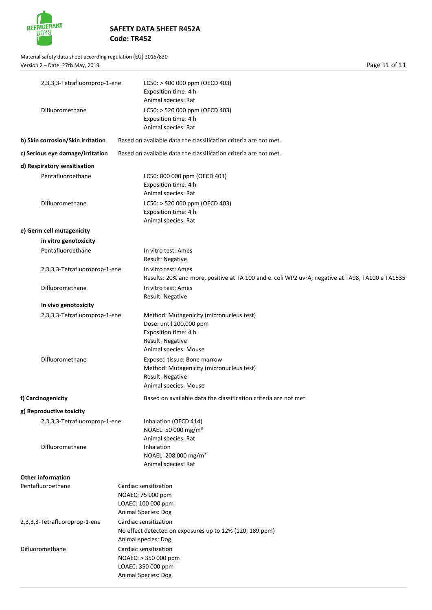

Material safety data sheet according regulation (EU) 2015/830 Version 2 – Date: 27th May, 2019 **Page 11 of 11** 

|  | 2,3,3,3-Tetrafluoroprop-1-ene     | LC50: > 400 000 ppm (OECD 403)                                                                   |
|--|-----------------------------------|--------------------------------------------------------------------------------------------------|
|  |                                   | Exposition time: 4 h                                                                             |
|  |                                   | Animal species: Rat                                                                              |
|  | Difluoromethane                   | LC50: > 520 000 ppm (OECD 403)                                                                   |
|  |                                   | Exposition time: 4 h<br>Animal species: Rat                                                      |
|  | b) Skin corrosion/Skin irritation | Based on available data the classification criteria are not met.                                 |
|  | c) Serious eye damage/irritation  | Based on available data the classification criteria are not met.                                 |
|  | d) Respiratory sensitisation      |                                                                                                  |
|  | Pentafluoroethane                 | LC50: 800 000 ppm (OECD 403)                                                                     |
|  |                                   | Exposition time: 4 h                                                                             |
|  |                                   | Animal species: Rat                                                                              |
|  | Difluoromethane                   | LC50: > 520 000 ppm (OECD 403)                                                                   |
|  |                                   | Exposition time: 4 h                                                                             |
|  |                                   | Animal species: Rat                                                                              |
|  | e) Germ cell mutagenicity         |                                                                                                  |
|  | in vitro genotoxicity             |                                                                                                  |
|  | Pentafluoroethane                 | In vitro test: Ames                                                                              |
|  |                                   | <b>Result: Negative</b>                                                                          |
|  | 2,3,3,3-Tetrafluoroprop-1-ene     | In vitro test: Ames                                                                              |
|  |                                   | Results: 20% and more, positive at TA 100 and e. coli WP2 uvrA, negative at TA98, TA100 e TA1535 |
|  | Difluoromethane                   | In vitro test: Ames                                                                              |
|  |                                   | Result: Negative                                                                                 |
|  | In vivo genotoxicity              |                                                                                                  |
|  | 2,3,3,3-Tetrafluoroprop-1-ene     | Method: Mutagenicity (micronucleus test)<br>Dose: until 200,000 ppm                              |
|  |                                   | Exposition time: 4 h                                                                             |
|  |                                   | Result: Negative                                                                                 |
|  |                                   | Animal species: Mouse                                                                            |
|  | Difluoromethane                   | Exposed tissue: Bone marrow                                                                      |
|  |                                   | Method: Mutagenicity (micronucleus test)                                                         |
|  |                                   | Result: Negative                                                                                 |
|  |                                   | Animal species: Mouse                                                                            |
|  | f) Carcinogenicity                | Based on available data the classification criteria are not met.                                 |
|  | g) Reproductive toxicity          |                                                                                                  |
|  | 2,3,3,3-Tetrafluoroprop-1-ene     | Inhalation (OECD 414)                                                                            |
|  |                                   | NOAEL: 50 000 mg/m <sup>3</sup>                                                                  |
|  |                                   | Animal species: Rat                                                                              |
|  | Difluoromethane                   | Inhalation                                                                                       |
|  |                                   | NOAEL: 208 000 mg/m <sup>3</sup>                                                                 |
|  |                                   | Animal species: Rat                                                                              |
|  | <b>Other information</b>          |                                                                                                  |
|  | Pentafluoroethane                 | Cardiac sensitization                                                                            |
|  |                                   | NOAEC: 75 000 ppm                                                                                |
|  |                                   | LOAEC: 100 000 ppm                                                                               |
|  |                                   | Animal Species: Dog                                                                              |
|  | 2,3,3,3-Tetrafluoroprop-1-ene     | Cardiac sensitization                                                                            |
|  |                                   | No effect detected on exposures up to 12% (120, 189 ppm)<br>Animal species: Dog                  |
|  | Difluoromethane                   | Cardiac sensitization                                                                            |
|  |                                   | NOAEC: > 350 000 ppm                                                                             |
|  |                                   | LOAEC: 350 000 ppm                                                                               |
|  |                                   | <b>Animal Species: Dog</b>                                                                       |
|  |                                   |                                                                                                  |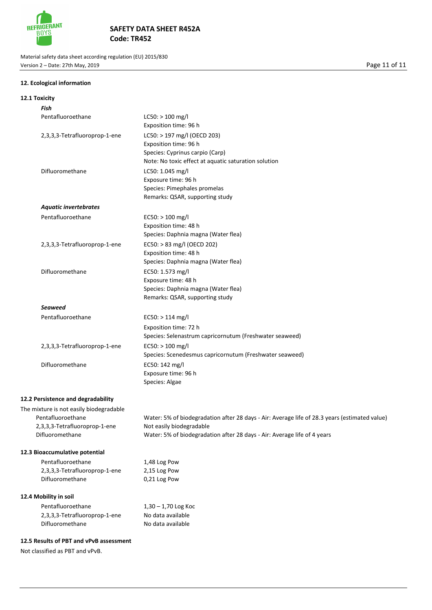

Material safety data sheet according regulation (EU) 2015/830 Version 2 – Date: 27th May, 2019 **Page 11 of 11** 

# **12. Ecological information**

| 12.1 Toxicity                                                         |                                                                                                                                                                                                       |
|-----------------------------------------------------------------------|-------------------------------------------------------------------------------------------------------------------------------------------------------------------------------------------------------|
| Fish                                                                  |                                                                                                                                                                                                       |
| Pentafluoroethane                                                     | $LC50:$ > 100 mg/l<br>Exposition time: 96 h                                                                                                                                                           |
| 2,3,3,3-Tetrafluoroprop-1-ene                                         | LC50: > 197 mg/l (OECD 203)<br>Exposition time: 96 h<br>Species: Cyprinus carpio (Carp)<br>Note: No toxic effect at aquatic saturation solution                                                       |
| Difluoromethane                                                       | LC50: 1.045 mg/l<br>Exposure time: 96 h<br>Species: Pimephales promelas<br>Remarks: QSAR, supporting study                                                                                            |
| <b>Aquatic invertebrates</b>                                          |                                                                                                                                                                                                       |
| Pentafluoroethane                                                     | $EC50:$ > 100 mg/l<br>Exposition time: 48 h<br>Species: Daphnia magna (Water flea)                                                                                                                    |
| 2,3,3,3-Tetrafluoroprop-1-ene                                         | EC50: > 83 mg/l (OECD 202)<br>Exposition time: 48 h<br>Species: Daphnia magna (Water flea)                                                                                                            |
| Difluoromethane                                                       | EC50: 1.573 mg/l<br>Exposure time: 48 h<br>Species: Daphnia magna (Water flea)<br>Remarks: QSAR, supporting study                                                                                     |
| Seaweed                                                               |                                                                                                                                                                                                       |
| Pentafluoroethane                                                     | $EC50:$ > 114 mg/l<br>Exposition time: 72 h<br>Species: Selenastrum capricornutum (Freshwater seaweed)                                                                                                |
| 2,3,3,3-Tetrafluoroprop-1-ene                                         | $EC50:$ > 100 mg/l<br>Species: Scenedesmus capricornutum (Freshwater seaweed)                                                                                                                         |
| Difluoromethane                                                       | EC50: 142 mg/l<br>Exposure time: 96 h<br>Species: Algae                                                                                                                                               |
| 12.2 Persistence and degradability                                    |                                                                                                                                                                                                       |
| The mixture is not easily biodegradable                               |                                                                                                                                                                                                       |
| Pentafluoroethane<br>2,3,3,3-Tetrafluoroprop-1-ene<br>Difluoromethane | Water: 5% of biodegradation after 28 days - Air: Average life of 28.3 years (estimated value)<br>Not easily biodegradable<br>Water: 5% of biodegradation after 28 days - Air: Average life of 4 years |
| 12.3 Bioaccumulative potential                                        |                                                                                                                                                                                                       |
| Pentafluoroethane<br>2,3,3,3-Tetrafluoroprop-1-ene<br>Difluoromethane | 1,48 Log Pow<br>2,15 Log Pow<br>0,21 Log Pow                                                                                                                                                          |
| 12.4 Mobility in soil                                                 |                                                                                                                                                                                                       |
| Pentafluoroethane<br>2,3,3,3-Tetrafluoroprop-1-ene<br>Difluoromethane | $1,30 - 1,70$ Log Koc<br>No data available<br>No data available                                                                                                                                       |

## **12.5 Results of PBT and vPvB assessment**

Not classified as PBT and vPvB.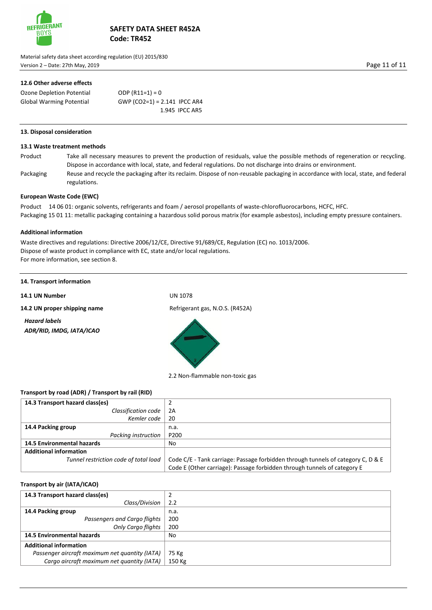

Material safety data sheet according regulation (EU) 2015/830 Version 2 – Date: 27th May, 2019 Page 11 of 11

# **12.6 Other adverse effects**

| Ozone Depletion Potential       | ODP $(R11=1) = 0$              |                |
|---------------------------------|--------------------------------|----------------|
| <b>Global Warming Potential</b> | GWP (CO2=1) = $2.141$ IPCC AR4 |                |
|                                 |                                | 1.945 IPCC AR5 |

## **13. Disposal consideration**

## **13.1 Waste treatment methods**

Product Take all necessary measures to prevent the production of residuals, value the possible methods of regeneration or recycling. Dispose in accordance with local, state, and federal regulations. Do not discharge into drains or environment. Packaging Reuse and recycle the packaging after its reclaim. Dispose of non-reusable packaging in accordance with local, state, and federal

**European Waste Code (EWC)** 

regulations.

Product 14 06 01: organic solvents, refrigerants and foam / aerosol propellants of waste-chlorofluorocarbons, HCFC, HFC. Packaging 15 01 11: metallic packaging containing a hazardous solid porous matrix (for example asbestos), including empty pressure containers.

### **Additional information**

Waste directives and regulations: Directive 2006/12/CE, Directive 91/689/CE, Regulation (EC) no. 1013/2006. Dispose of waste product in compliance with EC, state and/or local regulations. For more information, see section 8.

**14. Transport information**

**14.1 UN Number** UN 1078

**14.2 UN proper shipping name** Refrigerant gas, N.O.S. (R452A)

*Hazard labels ADR/RID, IMDG, IATA/ICAO*



2.2 Non-flammable non-toxic gas

## **Transport by road (ADR) / Transport by rail (RID)**

| 14.3 Transport hazard class(es)       |                                                                                  |
|---------------------------------------|----------------------------------------------------------------------------------|
| Classification code                   | 2A                                                                               |
| Kemler code                           | -20                                                                              |
| 14.4 Packing group                    | n.a.                                                                             |
| Packing instruction                   | P200                                                                             |
| <b>14.5 Environmental hazards</b>     | No                                                                               |
| <b>Additional information</b>         |                                                                                  |
| Tunnel restriction code of total load | Code C/E - Tank carriage: Passage forbidden through tunnels of category C, D & E |
|                                       | Code E (Other carriage): Passage forbidden through tunnels of category E         |

# **Transport by air (IATA/ICAO)**

| 14.3 Transport hazard class(es)                |        |
|------------------------------------------------|--------|
| Class/Division                                 | 2.2    |
| 14.4 Packing group                             | n.a.   |
| Passengers and Cargo flights                   | 200    |
| <b>Only Cargo flights</b>                      | 200    |
| <b>14.5 Environmental hazards</b>              | No     |
| <b>Additional information</b>                  |        |
| Passenger aircraft maximum net quantity (IATA) | 75 Kg  |
| Cargo aircraft maximum net quantity (IATA)     | 150 Kg |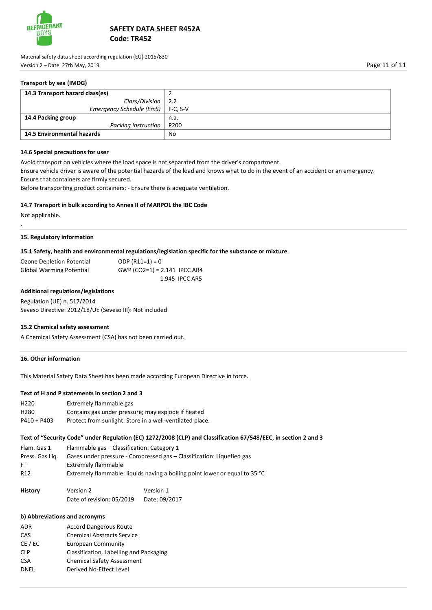

Material safety data sheet according regulation (EU) 2015/830 Version 2 – Date: 27th May, 2019 Page 11 of 11

## **Transport by sea (IMDG)**

| 14.3 Transport hazard class(es)     |                 |
|-------------------------------------|-----------------|
| Class/Division                      | $\frac{1}{2.2}$ |
| Emergency Schedule (EmS)   F-C, S-V |                 |
| 14.4 Packing group                  | n.a.            |
| Packing instruction                 | P200            |
| 14.5 Environmental hazards          | No              |

### **14.6 Special precautions for user**

Avoid transport on vehicles where the load space is not separated from the driver's compartment.

Ensure vehicle driver is aware of the potential hazards of the load and knows what to do in the event of an accident or an emergency. Ensure that containers are firmly secured.

Before transporting product containers: - Ensure there is adequate ventilation.

#### **14.7 Transport in bulk according to Annex II of MARPOL the IBC Code**

Not applicable.

.

### **15. Regulatory information**

#### **15.1 Safety, health and environmental regulations/legislation specific for the substance or mixture**

| Ozone Depletion Potential | ODP $(R11=1) = 0$              |
|---------------------------|--------------------------------|
| Global Warming Potential  | GWP (CO2=1) = $2.141$ IPCC AR4 |
|                           | 1.945 IPCC AR5                 |

### **Additional regulations/legislations**

Regulation (UE) n. 517/2014 Seveso Directive: 2012/18/UE (Seveso III): Not included

#### **15.2 Chemical safety assessment**

A Chemical Safety Assessment (CSA) has not been carried out.

### **16. Other information**

This Material Safety Data Sheet has been made according European Directive in force.

# **Text of H and P statements in section 2 and 3**

| H <sub>220</sub> | Extremely flammable gas                                  |
|------------------|----------------------------------------------------------|
| H <sub>280</sub> | Contains gas under pressure; may explode if heated       |
| $P410 + P403$    | Protect from sunlight. Store in a well-ventilated place. |

## **Text of "Security Code" under Regulation (EC) 1272/2008 (CLP) and Classification 67/548/EEC, in section 2 and 3**

Flam. Gas 1 Flammable gas – Classification: Category 1 Press. Gas Liq. Gases under pressure - Compressed gas – Classification: Liquefied gas F+ Extremely flammable R12 Extremely flammable: liquids having a boiling point lower or equal to 35 °C

| <b>History</b> | Version 2                 | Version 1     |
|----------------|---------------------------|---------------|
|                | Date of revision: 05/2019 | Date: 09/2017 |

### **b) Abbreviations and acronyms**

| ADR        | <b>Accord Dangerous Route</b>           |
|------------|-----------------------------------------|
| CAS        | <b>Chemical Abstracts Service</b>       |
| CE / EC    | <b>European Community</b>               |
| <b>CLP</b> | Classification, Labelling and Packaging |
| <b>CSA</b> | <b>Chemical Safety Assessment</b>       |
| DNEL       | Derived No-Effect Level                 |